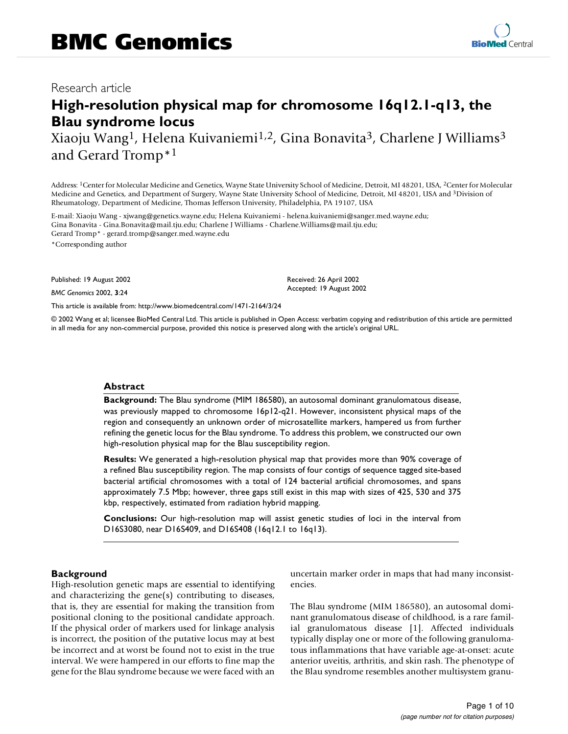# **High-resolution physical map for chromosome 16q12.1-q13, the Blau syndrome locus**

Xiaoju Wang<sup>1</sup>, Helena Kuivaniemi<sup>1,2</sup>, Gina Bonavita<sup>3</sup>, Charlene J Williams<sup>3</sup> and Gerard Tromp\*1

Address: 1Center for Molecular Medicine and Genetics, Wayne State University School of Medicine, Detroit, MI 48201, USA, 2Center for Molecular Medicine and Genetics, and Department of Surgery, Wayne State University School of Medicine, Detroit, MI 48201, USA and 3Division of Rheumatology, Department of Medicine, Thomas Jefferson University, Philadelphia, PA 19107, USA

E-mail: Xiaoju Wang - xjwang@genetics.wayne.edu; Helena Kuivaniemi - helena.kuivaniemi@sanger.med.wayne.edu; Gina Bonavita - Gina.Bonavita@mail.tju.edu; Charlene J Williams - Charlene.Williams@mail.tju.edu; Gerard Tromp\* - gerard.tromp@sanger.med.wayne.edu \*Corresponding author

Published: 19 August 2002

*BMC Genomics* 2002, **3**:24

[This article is available from: http://www.biomedcentral.com/1471-2164/3/24](http://www.biomedcentral.com/1471-2164/3/24)

© 2002 Wang et al; licensee BioMed Central Ltd. This article is published in Open Access: verbatim copying and redistribution of this article are permitted in all media for any non-commercial purpose, provided this notice is preserved along with the article's original URL.

#### **Abstract**

**Background:** The Blau syndrome (MIM 186580), an autosomal dominant granulomatous disease, was previously mapped to chromosome 16p12-q21. However, inconsistent physical maps of the region and consequently an unknown order of microsatellite markers, hampered us from further refining the genetic locus for the Blau syndrome. To address this problem, we constructed our own high-resolution physical map for the Blau susceptibility region.

**Results:** We generated a high-resolution physical map that provides more than 90% coverage of a refined Blau susceptibility region. The map consists of four contigs of sequence tagged site-based bacterial artificial chromosomes with a total of 124 bacterial artificial chromosomes, and spans approximately 7.5 Mbp; however, three gaps still exist in this map with sizes of 425, 530 and 375 kbp, respectively, estimated from radiation hybrid mapping.

**Conclusions:** Our high-resolution map will assist genetic studies of loci in the interval from D16S3080, near D16S409, and D16S408 (16q12.1 to 16q13).

#### **Background**

High-resolution genetic maps are essential to identifying and characterizing the gene(s) contributing to diseases, that is, they are essential for making the transition from positional cloning to the positional candidate approach. If the physical order of markers used for linkage analysis is incorrect, the position of the putative locus may at best be incorrect and at worst be found not to exist in the true interval. We were hampered in our efforts to fine map the gene for the Blau syndrome because we were faced with an uncertain marker order in maps that had many inconsistencies.

The Blau syndrome (MIM 186580), an autosomal dominant granulomatous disease of childhood, is a rare familial granulomatous disease [1]. Affected individuals typically display one or more of the following granulomatous inflammations that have variable age-at-onset: acute anterior uveitis, arthritis, and skin rash. The phenotype of the Blau syndrome resembles another multisystem granu-

Received: 26 April 2002 Accepted: 19 August 2002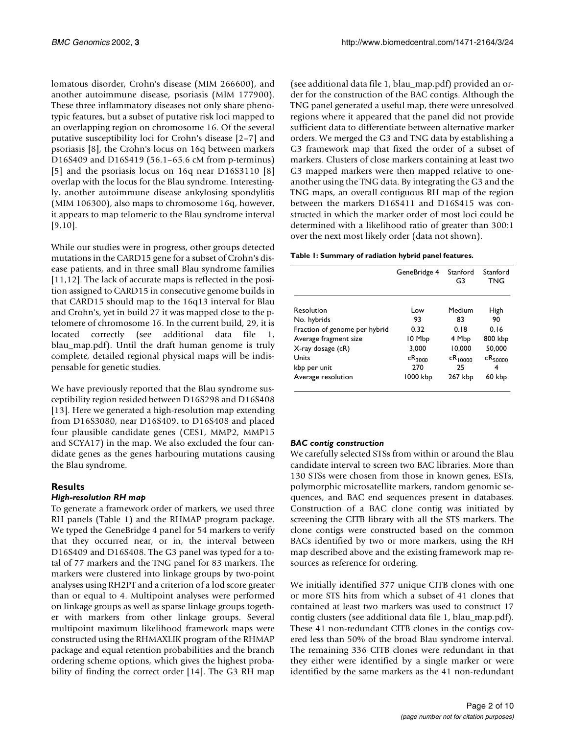lomatous disorder, Crohn's disease (MIM 266600), and another autoimmune disease, psoriasis (MIM 177900). These three inflammatory diseases not only share phenotypic features, but a subset of putative risk loci mapped to an overlapping region on chromosome 16. Of the several putative susceptibility loci for Crohn's disease [2–7] and psoriasis [8], the Crohn's locus on 16q between markers D16S409 and D16S419 (56.1–65.6 cM from p-terminus) [5] and the psoriasis locus on 16q near D16S3110 [8] overlap with the locus for the Blau syndrome. Interestingly, another autoimmune disease ankylosing spondylitis (MIM 106300), also maps to chromosome 16q, however, it appears to map telomeric to the Blau syndrome interval [9,10].

While our studies were in progress, other groups detected mutations in the CARD15 gene for a subset of Crohn's disease patients, and in three small Blau syndrome families [11,12]. The lack of accurate maps is reflected in the position assigned to CARD15 in consecutive genome builds in that CARD15 should map to the 16q13 interval for Blau and Crohn's, yet in build 27 it was mapped close to the ptelomere of chromosome 16. In the current build, 29, it is located correctly (see additional data file 1, blau\_map.pdf). Until the draft human genome is truly complete, detailed regional physical maps will be indispensable for genetic studies.

We have previously reported that the Blau syndrome susceptibility region resided between D16S298 and D16S408 [13]. Here we generated a high-resolution map extending from D16S3080, near D16S409, to D16S408 and placed four plausible candidate genes (CES1, MMP2, MMP15 and SCYA17) in the map. We also excluded the four candidate genes as the genes harbouring mutations causing the Blau syndrome.

# **Results**

## *High-resolution RH map*

To generate a framework order of markers, we used three RH panels (Table 1) and the RHMAP program package. We typed the GeneBridge 4 panel for 54 markers to verify that they occurred near, or in, the interval between D16S409 and D16S408. The G3 panel was typed for a total of 77 markers and the TNG panel for 83 markers. The markers were clustered into linkage groups by two-point analyses using RH2PT and a criterion of a lod score greater than or equal to 4. Multipoint analyses were performed on linkage groups as well as sparse linkage groups together with markers from other linkage groups. Several multipoint maximum likelihood framework maps were constructed using the RHMAXLIK program of the RHMAP package and equal retention probabilities and the branch ordering scheme options, which gives the highest probability of finding the correct order [14]. The G3 RH map

(see additional data file 1, blau\_map.pdf) provided an order for the construction of the BAC contigs. Although the TNG panel generated a useful map, there were unresolved regions where it appeared that the panel did not provide sufficient data to differentiate between alternative marker orders. We merged the G3 and TNG data by establishing a G3 framework map that fixed the order of a subset of markers. Clusters of close markers containing at least two G3 mapped markers were then mapped relative to oneanother using the TNG data. By integrating the G3 and the TNG maps, an overall contiguous RH map of the region between the markers D16S411 and D16S415 was constructed in which the marker order of most loci could be determined with a likelihood ratio of greater than 300:1 over the next most likely order (data not shown).

## **Table 1: Summary of radiation hybrid panel features.**

|                               | GeneBridge 4 | Stanford<br>G3 | Stanford<br><b>TNG</b> |
|-------------------------------|--------------|----------------|------------------------|
| Resolution                    | Low          | Medium         | High                   |
| No. hybrids                   | 93           | 83             | 90                     |
| Fraction of genome per hybrid | 0.32         | 0.18           | 0.16                   |
| Average fragment size         | 10 Mbp       | 4 Mbp          | 800 kbp                |
| X-ray dosage (cR)             | 3.000        | 10.000         | 50,000                 |
| <b>Units</b>                  | $cR_{3000}$  | $CR_{10000}$   | $cR_{50000}$           |
| kbp per unit                  | 270          | 25             | 4                      |
| Average resolution            | 1000 kbp     | 267 kbp        | 60 kbp                 |

## *BAC contig construction*

We carefully selected STSs from within or around the Blau candidate interval to screen two BAC libraries. More than 130 STSs were chosen from those in known genes, ESTs, polymorphic microsatellite markers, random genomic sequences, and BAC end sequences present in databases. Construction of a BAC clone contig was initiated by screening the CITB library with all the STS markers. The clone contigs were constructed based on the common BACs identified by two or more markers, using the RH map described above and the existing framework map resources as reference for ordering.

We initially identified 377 unique CITB clones with one or more STS hits from which a subset of 41 clones that contained at least two markers was used to construct 17 contig clusters (see additional data file 1, blau\_map.pdf). These 41 non-redundant CITB clones in the contigs covered less than 50% of the broad Blau syndrome interval. The remaining 336 CITB clones were redundant in that they either were identified by a single marker or were identified by the same markers as the 41 non-redundant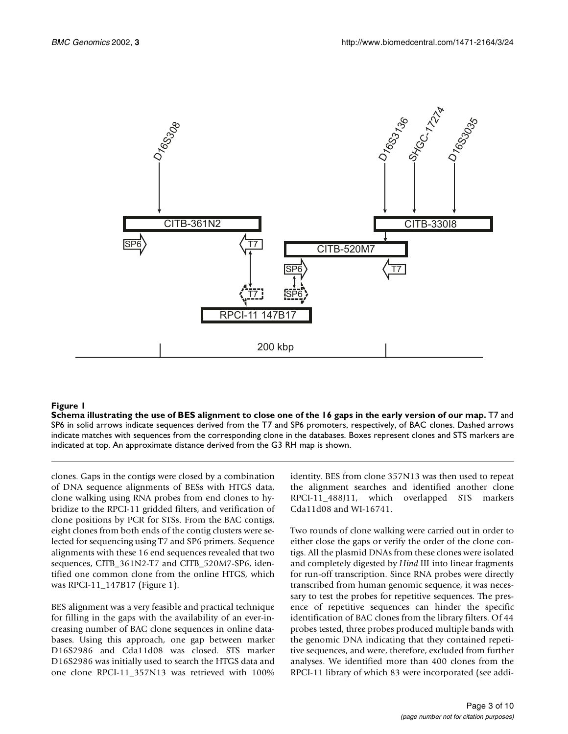

# **Figure 1**

**Schema illustrating the use of BES alignment to close one of the 16 gaps in the early version of our map.** T7 and SP6 in solid arrows indicate sequences derived from the T7 and SP6 promoters, respectively, of BAC clones. Dashed arrows indicate matches with sequences from the corresponding clone in the databases. Boxes represent clones and STS markers are indicated at top. An approximate distance derived from the G3 RH map is shown.

clones. Gaps in the contigs were closed by a combination of DNA sequence alignments of BESs with HTGS data, clone walking using RNA probes from end clones to hybridize to the RPCI-11 gridded filters, and verification of clone positions by PCR for STSs. From the BAC contigs, eight clones from both ends of the contig clusters were selected for sequencing using T7 and SP6 primers. Sequence alignments with these 16 end sequences revealed that two sequences, CITB\_361N2-T7 and CITB\_520M7-SP6, identified one common clone from the online HTGS, which was RPCI-11\_147B17 (Figure 1).

BES alignment was a very feasible and practical technique for filling in the gaps with the availability of an ever-increasing number of BAC clone sequences in online databases. Using this approach, one gap between marker D16S2986 and Cda11d08 was closed. STS marker D16S2986 was initially used to search the HTGS data and one clone RPCI-11\_357N13 was retrieved with 100% identity. BES from clone 357N13 was then used to repeat the alignment searches and identified another clone RPCI-11\_488J11, which overlapped STS markers Cda11d08 and WI-16741.

Two rounds of clone walking were carried out in order to either close the gaps or verify the order of the clone contigs. All the plasmid DNAs from these clones were isolated and completely digested by *Hind* III into linear fragments for run-off transcription. Since RNA probes were directly transcribed from human genomic sequence, it was necessary to test the probes for repetitive sequences. The presence of repetitive sequences can hinder the specific identification of BAC clones from the library filters. Of 44 probes tested, three probes produced multiple bands with the genomic DNA indicating that they contained repetitive sequences, and were, therefore, excluded from further analyses. We identified more than 400 clones from the RPCI-11 library of which 83 were incorporated (see addi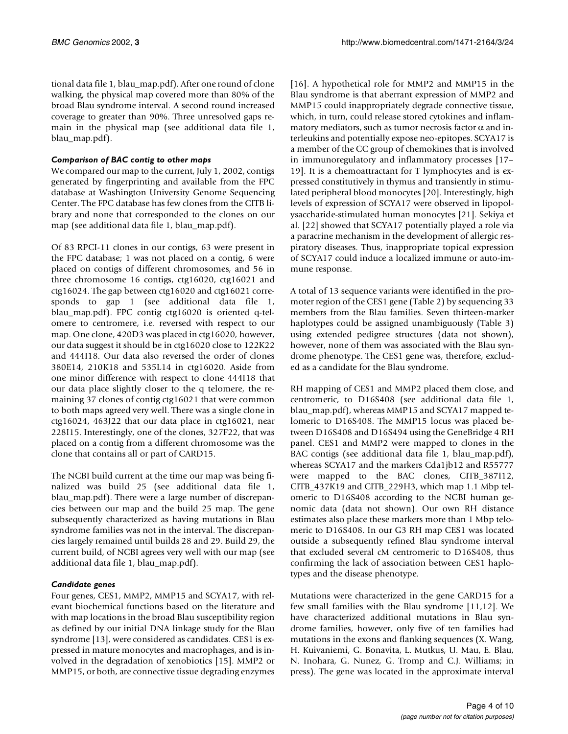tional data file 1, blau\_map.pdf). After one round of clone walking, the physical map covered more than 80% of the broad Blau syndrome interval. A second round increased coverage to greater than 90%. Three unresolved gaps remain in the physical map (see additional data file 1, blau\_map.pdf).

# *Comparison of BAC contig to other maps*

We compared our map to the current, July 1, 2002, contigs generated by fingerprinting and available from the FPC database at Washington University Genome Sequencing Center. The FPC database has few clones from the CITB library and none that corresponded to the clones on our map (see additional data file 1, blau\_map.pdf).

Of 83 RPCI-11 clones in our contigs, 63 were present in the FPC database; 1 was not placed on a contig, 6 were placed on contigs of different chromosomes, and 56 in three chromosome 16 contigs, ctg16020, ctg16021 and ctg16024. The gap between ctg16020 and ctg16021 corresponds to gap 1 (see additional data file 1, blau\_map.pdf). FPC contig ctg16020 is oriented q-telomere to centromere, i.e. reversed with respect to our map. One clone, 420D3 was placed in ctg16020, however, our data suggest it should be in ctg16020 close to 122K22 and 444I18. Our data also reversed the order of clones 380E14, 210K18 and 535L14 in ctg16020. Aside from one minor difference with respect to clone 444I18 that our data place slightly closer to the q telomere, the remaining 37 clones of contig ctg16021 that were common to both maps agreed very well. There was a single clone in ctg16024, 463J22 that our data place in ctg16021, near 228I15. Interestingly, one of the clones, 327F22, that was placed on a contig from a different chromosome was the clone that contains all or part of CARD15.

The NCBI build current at the time our map was being finalized was build 25 (see additional data file 1, blau\_map.pdf). There were a large number of discrepancies between our map and the build 25 map. The gene subsequently characterized as having mutations in Blau syndrome families was not in the interval. The discrepancies largely remained until builds 28 and 29. Build 29, the current build, of NCBI agrees very well with our map (see additional data file 1, blau\_map.pdf).

# *Candidate genes*

Four genes, CES1, MMP2, MMP15 and SCYA17, with relevant biochemical functions based on the literature and with map locations in the broad Blau susceptibility region as defined by our initial DNA linkage study for the Blau syndrome [13], were considered as candidates. CES1 is expressed in mature monocytes and macrophages, and is involved in the degradation of xenobiotics [15]. MMP2 or MMP15, or both, are connective tissue degrading enzymes

[16]. A hypothetical role for MMP2 and MMP15 in the Blau syndrome is that aberrant expression of MMP2 and MMP15 could inappropriately degrade connective tissue, which, in turn, could release stored cytokines and inflammatory mediators, such as tumor necrosis factor  $\alpha$  and interleukins and potentially expose neo-epitopes. SCYA17 is a member of the CC group of chemokines that is involved in immunoregulatory and inflammatory processes [17– 19]. It is a chemoattractant for T lymphocytes and is expressed constitutively in thymus and transiently in stimulated peripheral blood monocytes [20]. Interestingly, high levels of expression of SCYA17 were observed in lipopolysaccharide-stimulated human monocytes [21]. Sekiya et al. [22] showed that SCYA17 potentially played a role via a paracrine mechanism in the development of allergic respiratory diseases. Thus, inappropriate topical expression of SCYA17 could induce a localized immune or auto-immune response.

A total of 13 sequence variants were identified in the promoter region of the CES1 gene (Table 2) by sequencing 33 members from the Blau families. Seven thirteen-marker haplotypes could be assigned unambiguously (Table 3) using extended pedigree structures (data not shown), however, none of them was associated with the Blau syndrome phenotype. The CES1 gene was, therefore, excluded as a candidate for the Blau syndrome.

RH mapping of CES1 and MMP2 placed them close, and centromeric, to D16S408 (see additional data file 1, blau\_map.pdf), whereas MMP15 and SCYA17 mapped telomeric to D16S408. The MMP15 locus was placed between D16S408 and D16S494 using the GeneBridge 4 RH panel. CES1 and MMP2 were mapped to clones in the BAC contigs (see additional data file 1, blau\_map.pdf), whereas SCYA17 and the markers Cda1jb12 and R55777 were mapped to the BAC clones, CITB\_387I12, CITB\_437K19 and CITB\_229H3, which map 1.1 Mbp telomeric to D16S408 according to the NCBI human genomic data (data not shown). Our own RH distance estimates also place these markers more than 1 Mbp telomeric to D16S408. In our G3 RH map CES1 was located outside a subsequently refined Blau syndrome interval that excluded several cM centromeric to D16S408, thus confirming the lack of association between CES1 haplotypes and the disease phenotype.

Mutations were characterized in the gene CARD15 for a few small families with the Blau syndrome [11,12]. We [have characterized additional mutations in Blau syn](http://genome.ucsc.edu/cgi-bin/hgGateway?db=hg10)drome families, however, only five of ten families had mutations in the exons and flanking sequences (X. Wang, H. Kuivaniemi, G. Bonavita, L. Mutkus, U. Mau, E. Blau, N. Inohara, G. Nunez, G. Tromp and C.J. Williams; in [press\). The gene was located in the approximate interval](http://genome.ucsc.edu/cgi-bin/hgGateway?db=hg10)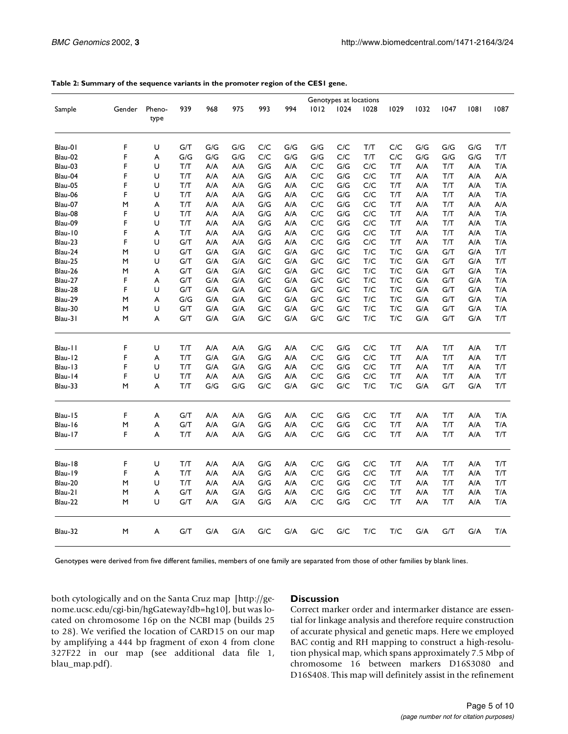|                    |        |                           |            |            |            |            |            | Genotypes at locations |                           |                         |                         |            |            |            |                         |
|--------------------|--------|---------------------------|------------|------------|------------|------------|------------|------------------------|---------------------------|-------------------------|-------------------------|------------|------------|------------|-------------------------|
| Sample             | Gender | Pheno-<br>type            | 939        | 968        | 975        | 993        | 994        | 1012                   | 1024                      | 1028                    | 1029                    | 1032       | 1047       | 1081       | 1087                    |
| Blau-01            | F      | U                         | G/T        | G/G        | G/G        | C/C        | G/G        | G/G                    | C/C                       | T/T                     | C/C                     | G/G        | G/G        | G/G        | T/T                     |
| Blau-02            | F      | A                         | G/G        | G/G        | G/G        | C/C        | G/G        | G/G                    | $\mathsf{C}/\mathsf{C}$   | T/T                     | C/C                     | G/G        | G/G        | G/G        | $\mathsf{T}/\mathsf{T}$ |
| Blau-03            | F      | U                         | T/T        | A/A        | A/A        | G/G        | A/A        | C/C                    | G/G                       | C/C                     | T/T                     | A/A        | T/T        | A/A        | T/A                     |
| Blau-04            | F      | U                         | T/T        | A/A        | A/A        | G/G        | A/A        | C/C                    | G/G                       | C/C                     | T/T                     | A/A        | T/T        | A/A        | A/A                     |
| Blau-05            | F      | U                         | T/T        | A/A        | A/A        | G/G        | A/A        | C/C                    | G/G                       | C/C                     | T/T                     | A/A        | T/T        | A/A        | T/A                     |
| Blau-06            | F      | U                         | T/T        | A/A        | A/A        | G/G        | A/A        | C/C                    | G/G                       | C/C                     | T/T                     | A/A        | T/T        | A/A        | T/A                     |
| Blau-07            | M      | A                         | T/T        | A/A        | A/A        | G/G        | A/A        | C/C                    | G/G                       | C/C                     | T/T                     | A/A        | T/T        | A/A        | A/A                     |
| Blau-08            | F      | U                         | T/T        | A/A        | A/A        | G/G        | A/A        | C/C                    | G/G                       | C/C                     | T/T                     | A/A        | T/T        | A/A        | T/A                     |
| Blau-09            | F      | U                         | T/T        | A/A        | A/A        | G/G        | A/A        | C/C                    | G/G                       | C/C                     | T/T                     | A/A        | T/T        | A/A        | T/A                     |
| Blau-10<br>Blau-23 | F<br>F | A<br>U                    | T/T<br>G/T | A/A<br>A/A | A/A<br>A/A | G/G<br>G/G | A/A<br>A/A | C/C<br>C/C             | G/G<br>G/G                | C/C<br>C/C              | T/T<br>T/T              | A/A<br>A/A | T/T<br>T/T | A/A<br>A/A | T/A<br>T/A              |
| Blau-24            | M      | U                         | G/T        | G/A        | G/A        | G/C        | G/A        | G/C                    | G/C                       | T/C                     | T/C                     | G/A        | G/T        | G/A        | T/T                     |
| Blau-25            | M      | U                         | G/T        | G/A        | G/A        | G/C        | G/A        | G/C                    | G/C                       | $\mathsf{T}/\mathsf{C}$ | T/C                     | G/A        | G/T        | G/A        | T/T                     |
| Blau-26            | M      | A                         | G/T        | G/A        | G/A        | G/C        | G/A        | G/C                    | G/C                       | T/C                     | T/C                     | G/A        | G/T        | G/A        | T/A                     |
| Blau-27            | F      | A                         | G/T        | G/A        | G/A        | G/C        | G/A        | G/C                    | G/C                       | T/C                     | T/C                     | G/A        | G/T        | G/A        | T/A                     |
| Blau-28            | F      | U                         | G/T        | G/A        | G/A        | G/C        | G/A        | G/C                    | G/C                       | T/C                     | T/C                     | G/A        | G/T        | G/A        | T/A                     |
| Blau-29            | M      | A                         | G/G        | G/A        | G/A        | G/C        | G/A        | G/C                    | G/C                       | T/C                     | $\mathsf{T}/\mathsf{C}$ | G/A        | G/T        | G/A        | T/A                     |
| Blau-30            | M      | U                         | G/T        | G/A        | G/A        | G/C        | G/A        | G/C                    | G/C                       | T/C                     | T/C                     | G/A        | G/T        | G/A        | T/A                     |
| Blau-31            | M      | A                         | G/T        | G/A        | G/A        | G/C        | G/A        | G/C                    | ${\mathsf G}/{\mathsf C}$ | T/C                     | T/C                     | G/A        | G/T        | G/A        | T/T                     |
| Blau-11            | F      | U                         | T/T        | A/A        | A/A        | G/G        | A/A        | C/C                    | G/G                       | C/C                     | T/T                     | A/A        | T/T        | A/A        | T/T                     |
| Blau-12            | F      | A                         | T/T        | G/A        | G/A        | G/G        | A/A        | C/C                    | G/G                       | C/C                     | T/T                     | A/A        | T/T        | A/A        | T/T                     |
| Blau-13            | F      | U                         | T/T        | G/A        | G/A        | G/G        | A/A        | C/C                    | G/G                       | C/C                     | T/T                     | A/A        | T/T        | A/A        | T/T                     |
| Blau-14            | F      | U                         | T/T        | A/A        | A/A        | G/G        | A/A        | C/C                    | G/G                       | C/C                     | T/T                     | A/A        | T/T        | A/A        | T/T                     |
| Blau-33            | M      | A                         | T/T        | G/G        | G/G        | G/C        | G/A        | G/C                    | G/C                       | T/C                     | T/C                     | G/A        | G/T        | G/A        | T/T                     |
| Blau-15            | F      | $\boldsymbol{\mathsf{A}}$ | G/T        | A/A        | A/A        | G/G        | A/A        | C/C                    | G/G                       | C/C                     | T/T                     | A/A        | T/T        | A/A        | T/A                     |
| Blau-16            | M      | A                         | G/T        | A/A        | G/A        | G/G        | A/A        | C/C                    | G/G                       | $\mathsf{C}/\mathsf{C}$ | $\mathsf{T}/\mathsf{T}$ | A/A        | T/T        | A/A        | T/A                     |
| Blau-17            | F      | A                         | T/T        | A/A        | A/A        | G/G        | A/A        | C/C                    | G/G                       | C/C                     | T/T                     | A/A        | T/T        | A/A        | T/T                     |
| Blau-18            | F      | U                         | T/T        | A/A        | A/A        | G/G        | A/A        | C/C                    | G/G                       | $\mathsf{C}/\mathsf{C}$ | T/T                     | A/A        | T/T        | A/A        | T/T                     |
| Blau-19            | F      | A                         | T/T        | A/A        | A/A        | G/G        | A/A        | C/C                    | G/G                       | C/C                     | T/T                     | A/A        | T/T        | A/A        | T/T                     |
| Blau-20            | M      | U                         | T/T        | A/A        | A/A        | G/G        | A/A        | C/C                    | G/G                       | C/C                     | T/T                     | A/A        | T/T        | A/A        | T/T                     |
| Blau-21            | M      | A                         | G/T        | A/A        | G/A        | G/G        | A/A        | C/C                    | G/G                       | C/C                     | T/T                     | A/A        | T/T        | A/A        | T/A                     |
| Blau-22            | M      | U                         | G/T        | A/A        | G/A        | G/G        | A/A        | C/C                    | G/G                       | C/C                     | T/T                     | A/A        | T/T        | A/A        | T/A                     |
| Blau-32            | M      | A                         | G/T        | G/A        | G/A        | G/C        | G/A        | G/C                    | G/C                       | T/C                     | T/C                     | G/A        | G/T        | G/A        | T/A                     |

**Table 2: Summary of the sequence variants in the promoter region of the CES1 gene.**

Genotypes were derived from five different families, members of one family are separated from those of other families by blank lines.

both cytologically and on the Santa Cruz map [http://genome.ucsc.edu/cgi-bin/hgGateway?db=hg10], but was lo[cated on chromosome 16p on the NCBI map \(builds 25](http://genome.ucsc.edu/cgi-bin/hgGateway?db=hg10) to 28). We verified the location of CARD15 on our map by amplifying a 444 bp fragment of exon 4 from clone 327F22 in our map (see additional data file 1, blau\_map.pdf).

## **Discussion**

Correct marker order and intermarker distance are essential for linkage analysis and therefore require construction of accurate physical and genetic maps. Here we employed BAC contig and RH mapping to construct a high-resolution physical map, which spans approximately 7.5 Mbp of chromosome 16 between markers D16S3080 and D16S408. This map will definitely assist in the refinement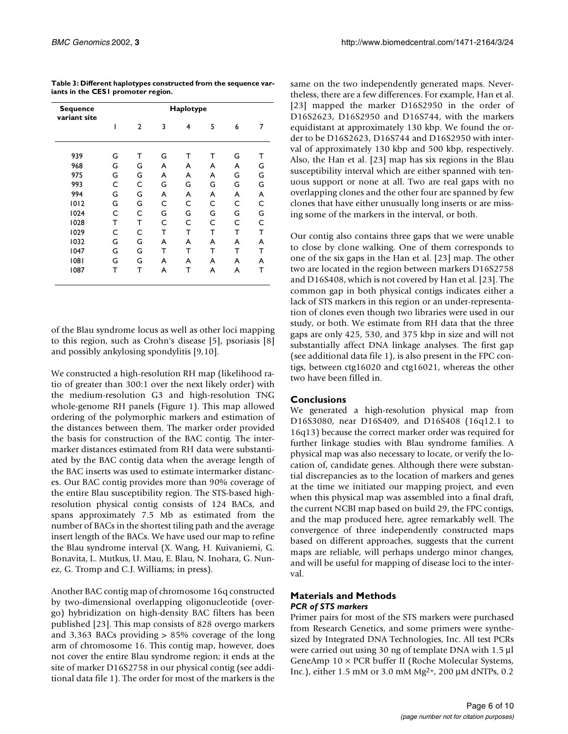| Sequence<br>variant site | Haplotype |                |   |   |   |   |   |  |  |  |
|--------------------------|-----------|----------------|---|---|---|---|---|--|--|--|
|                          |           | $\overline{2}$ | 3 | 4 | 5 | 6 | 7 |  |  |  |
| 939                      | G         | т              | G | т | т | G | т |  |  |  |
| 968                      | G         | G              | A | A | A | A | G |  |  |  |
| 975                      | G         | G              | A | A | A | G | G |  |  |  |
| 993                      | C         | C              | G | G | G | G | G |  |  |  |
| 994                      | G         | G              | A | A | A | A | A |  |  |  |
| 1012                     | G         | G              | C | C | C | C | C |  |  |  |
| 1024                     | C         | C              | G | G | G | G | G |  |  |  |
| 1028                     | т         | т              | C | C | C | C | C |  |  |  |
| 1029                     | C         | C              | т | т | т | т | Т |  |  |  |
| 1032                     | G         | G              | A | A | A | A | A |  |  |  |
| 1047                     | G         | G              | т | т | т | т | т |  |  |  |
| 1081                     | G         | G              | A | A | A | A | A |  |  |  |
| 1087                     | т         | т              | A | т | A | A | т |  |  |  |

**Table 3: Different haplotypes constructed from the sequence variants in the CES1 promoter region.**

of the Blau syndrome locus as well as other loci mapping to this region, such as Crohn's disease [5], psoriasis [8] and possibly ankylosing spondylitis [9,10].

We constructed a high-resolution RH map (likelihood ratio of greater than 300:1 over the next likely order) with the medium-resolution G3 and high-resolution TNG whole-genome RH panels (Figure 1). This map allowed ordering of the polymorphic markers and estimation of the distances between them. The marker order provided the basis for construction of the BAC contig. The intermarker distances estimated from RH data were substantiated by the BAC contig data when the average length of the BAC inserts was used to estimate intermarker distances. Our BAC contig provides more than 90% coverage of the entire Blau susceptibility region. The STS-based highresolution physical contig consists of 124 BACs, and spans approximately 7.5 Mb as estimated from the number of BACs in the shortest tiling path and the average insert length of the BACs. We have used our map to refine the Blau syndrome interval (X. Wang, H. Kuivaniemi, G. Bonavita, L. Mutkus, U. Mau, E. Blau, N. Inohara, G. Nunez, G. Tromp and C.J. Williams; in press).

Another BAC contig map of chromosome 16q constructed by two-dimensional overlapping oligonucleotide (overgo) hybridization on high-density BAC filters has been published [23]. This map consists of 828 overgo markers and 3,363 BACs providing > 85% coverage of the long arm of chromosome 16. This contig map, however, does not cover the entire Blau syndrome region; it ends at the site of marker D16S2758 in our physical contig (see additional data file 1). The order for most of the markers is the

same on the two independently generated maps. Nevertheless, there are a few differences. For example, Han et al. [23] mapped the marker D16S2950 in the order of D16S2623, D16S2950 and D16S744, with the markers equidistant at approximately 130 kbp. We found the order to be D16S2623, D16S744 and D16S2950 with interval of approximately 130 kbp and 500 kbp, respectively. Also, the Han et al. [23] map has six regions in the Blau susceptibility interval which are either spanned with tenuous support or none at all. Two are real gaps with no overlapping clones and the other four are spanned by few clones that have either unusually long inserts or are missing some of the markers in the interval, or both.

Our contig also contains three gaps that we were unable to close by clone walking. One of them corresponds to one of the six gaps in the Han et al. [23] map. The other two are located in the region between markers D16S2758 and D16S408, which is not covered by Han et al. [23]. The common gap in both physical contigs indicates either a lack of STS markers in this region or an under-representation of clones even though two libraries were used in our study, or both. We estimate from RH data that the three gaps are only 425, 530, and 375 kbp in size and will not substantially affect DNA linkage analyses. The first gap (see additional data file 1), is also present in the FPC contigs, between ctg16020 and ctg16021, whereas the other two have been filled in.

# **Conclusions**

We generated a high-resolution physical map from D16S3080, near D16S409, and D16S408 (16q12.1 to 16q13) because the correct marker order was required for further linkage studies with Blau syndrome families. A physical map was also necessary to locate, or verify the location of, candidate genes. Although there were substantial discrepancies as to the location of markers and genes at the time we initiated our mapping project, and even when this physical map was assembled into a final draft, the current NCBI map based on build 29, the FPC contigs, and the map produced here, agree remarkably well. The convergence of three independently constructed maps based on different approaches, suggests that the current maps are reliable, will perhaps undergo minor changes, and will be useful for mapping of disease loci to the interval.

# **Materials and Methods** *PCR of STS markers*

Primer pairs for most of the STS markers were purchased from Research Genetics, and some primers were synthesized by Integrated DNA Technologies, Inc. All test PCRs were carried out using 30 ng of template DNA with 1.5 µl GeneAmp 10 × PCR buffer II (Roche Molecular Systems, Inc.), either 1.5 mM or 3.0 mM Mg2+, 200 µM dNTPs, 0.2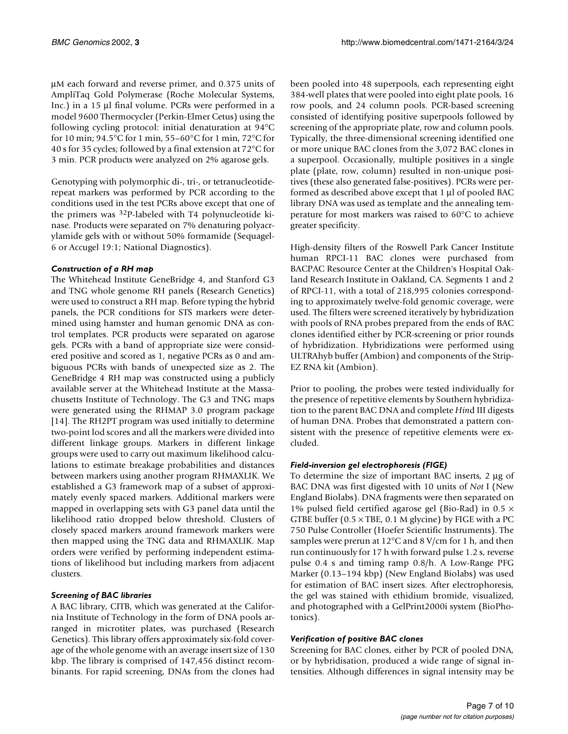µM each forward and reverse primer, and 0.375 units of AmpliTaq Gold Polymerase (Roche Molecular Systems, Inc.) in a 15 µl final volume. PCRs were performed in a model 9600 Thermocycler (Perkin-Elmer Cetus) using the following cycling protocol: initial denaturation at 94°C for 10 min; 94.5°C for 1 min, 55–60°C for 1 min, 72°C for 40 s for 35 cycles; followed by a final extension at 72°C for 3 min. PCR products were analyzed on 2% agarose gels.

Genotyping with polymorphic di-, tri-, or tetranucleotiderepeat markers was performed by PCR according to the conditions used in the test PCRs above except that one of the primers was 32P-labeled with T4 polynucleotide kinase. Products were separated on 7% denaturing polyacrylamide gels with or without 50% formamide (Sequagel-6 or Accugel 19:1; National Diagnostics).

## *Construction of a RH map*

The Whitehead Institute GeneBridge 4, and Stanford G3 and TNG whole genome RH panels (Research Genetics) were used to construct a RH map. Before typing the hybrid panels, the PCR conditions for STS markers were determined using hamster and human genomic DNA as control templates. PCR products were separated on agarose gels. PCRs with a band of appropriate size were considered positive and scored as 1, negative PCRs as 0 and ambiguous PCRs with bands of unexpected size as 2. The GeneBridge 4 RH map was constructed using a publicly available server at the Whitehead Institute at the Massachusetts Institute of Technology. The G3 and TNG maps were generated using the RHMAP 3.0 program package [14]. The RH2PT program was used initially to determine two-point lod scores and all the markers were divided into different linkage groups. Markers in different linkage groups were used to carry out maximum likelihood calculations to estimate breakage probabilities and distances between markers using another program RHMAXLIK. We established a G3 framework map of a subset of approximately evenly spaced markers. Additional markers were mapped in overlapping sets with G3 panel data until the likelihood ratio dropped below threshold. Clusters of closely spaced markers around framework markers were then mapped using the TNG data and RHMAXLIK. Map orders were verified by performing independent estimations of likelihood but including markers from adjacent clusters.

# *Screening of BAC libraries*

A BAC library, CITB, which was generated at the California Institute of Technology in the form of DNA pools arranged in microtiter plates, was purchased (Research Genetics). This library offers approximately six-fold coverage of the whole genome with an average insert size of 130 kbp. The library is comprised of 147,456 distinct recombinants. For rapid screening, DNAs from the clones had

been pooled into 48 superpools, each representing eight 384-well plates that were pooled into eight plate pools, 16 row pools, and 24 column pools. PCR-based screening consisted of identifying positive superpools followed by screening of the appropriate plate, row and column pools. Typically, the three-dimensional screening identified one or more unique BAC clones from the 3,072 BAC clones in a superpool. Occasionally, multiple positives in a single plate (plate, row, column) resulted in non-unique positives (these also generated false-positives). PCRs were performed as described above except that 1 µl of pooled BAC library DNA was used as template and the annealing temperature for most markers was raised to 60°C to achieve greater specificity.

High-density filters of the Roswell Park Cancer Institute human RPCI-11 BAC clones were purchased from BACPAC Resource Center at the Children's Hospital Oakland Research Institute in Oakland, CA. Segments 1 and 2 of RPCI-11, with a total of 218,995 colonies corresponding to approximately twelve-fold genomic coverage, were used. The filters were screened iteratively by hybridization with pools of RNA probes prepared from the ends of BAC clones identified either by PCR-screening or prior rounds of hybridization. Hybridizations were performed using ULTRAhyb buffer (Ambion) and components of the Strip-EZ RNA kit (Ambion).

Prior to pooling, the probes were tested individually for the presence of repetitive elements by Southern hybridization to the parent BAC DNA and complete *Hin*d III digests of human DNA. Probes that demonstrated a pattern consistent with the presence of repetitive elements were excluded.

# *Field-inversion gel electrophoresis (FIGE)*

To determine the size of important BAC inserts, 2 µg of BAC DNA was first digested with 10 units of *Not* I (New England Biolabs). DNA fragments were then separated on 1% pulsed field certified agarose gel (Bio-Rad) in 0.5  $\times$ GTBE buffer  $(0.5 \times$  TBE, 0.1 M glycine) by FIGE with a PC 750 Pulse Controller (Hoefer Scientific Instruments). The samples were prerun at 12°C and 8 V/cm for 1 h, and then run continuously for 17 h with forward pulse 1.2 s, reverse pulse 0.4 s and timing ramp 0.8/h. A Low-Range PFG Marker (0.13–194 kbp) (New England Biolabs) was used for estimation of BAC insert sizes. After electrophoresis, the gel was stained with ethidium bromide, visualized, and photographed with a GelPrint2000i system (BioPhotonics).

## *Verification of positive BAC clones*

Screening for BAC clones, either by PCR of pooled DNA, or by hybridisation, produced a wide range of signal intensities. Although differences in signal intensity may be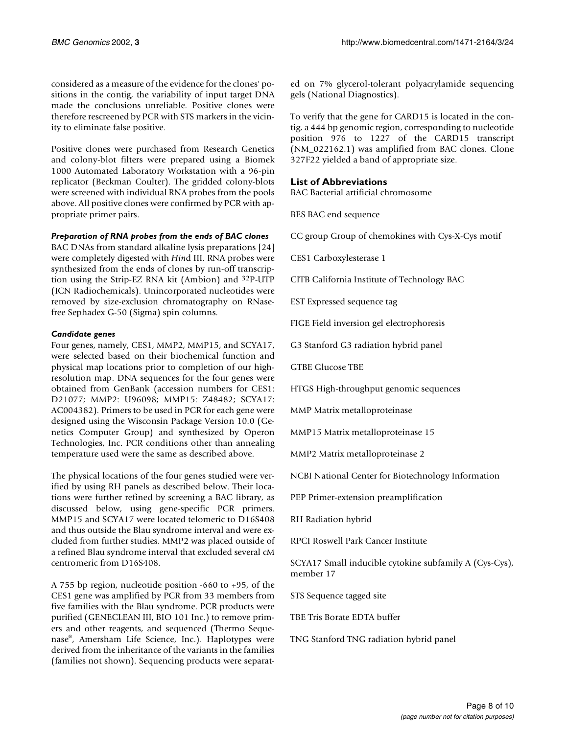considered as a measure of the evidence for the clones' positions in the contig, the variability of input target DNA made the conclusions unreliable. Positive clones were therefore rescreened by PCR with STS markers in the vicinity to eliminate false positive.

Positive clones were purchased from Research Genetics and colony-blot filters were prepared using a Biomek 1000 Automated Laboratory Workstation with a 96-pin replicator (Beckman Coulter). The gridded colony-blots were screened with individual RNA probes from the pools above. All positive clones were confirmed by PCR with appropriate primer pairs.

## *Preparation of RNA probes from the ends of BAC clones*

BAC DNAs from standard alkaline lysis preparations [24] were completely digested with *Hin*d III. RNA probes were synthesized from the ends of clones by run-off transcription using the Strip-EZ RNA kit (Ambion) and 32P-UTP (ICN Radiochemicals). Unincorporated nucleotides were removed by size-exclusion chromatography on RNasefree Sephadex G-50 (Sigma) spin columns.

## *Candidate genes*

Four genes, namely, CES1, MMP2, MMP15, and SCYA17, were selected based on their biochemical function and physical map locations prior to completion of our highresolution map. DNA sequences for the four genes were obtained from GenBank (accession numbers for CES1: D21077; MMP2: U96098; MMP15: Z48482; SCYA17: AC004382). Primers to be used in PCR for each gene were designed using the Wisconsin Package Version 10.0 (Genetics Computer Group) and synthesized by Operon Technologies, Inc. PCR conditions other than annealing temperature used were the same as described above.

The physical locations of the four genes studied were verified by using RH panels as described below. Their locations were further refined by screening a BAC library, as discussed below, using gene-specific PCR primers. MMP15 and SCYA17 were located telomeric to D16S408 and thus outside the Blau syndrome interval and were excluded from further studies. MMP2 was placed outside of a refined Blau syndrome interval that excluded several cM centromeric from D16S408.

A 755 bp region, nucleotide position -660 to +95, of the CES1 gene was amplified by PCR from 33 members from five families with the Blau syndrome. PCR products were purified (GENECLEAN III, BIO 101 Inc.) to remove primers and other reagents, and sequenced (Thermo Sequenase®, Amersham Life Science, Inc.). Haplotypes were derived from the inheritance of the variants in the families (families not shown). Sequencing products were separated on 7% glycerol-tolerant polyacrylamide sequencing gels (National Diagnostics).

To verify that the gene for CARD15 is located in the contig, a 444 bp genomic region, corresponding to nucleotide position 976 to 1227 of the CARD15 transcript (NM\_022162.1) was amplified from BAC clones. Clone 327F22 yielded a band of appropriate size.

# **List of Abbreviations**

BAC Bacterial artificial chromosome

BES BAC end sequence

CC group Group of chemokines with Cys-X-Cys motif

CES1 Carboxylesterase 1

CITB California Institute of Technology BAC

EST Expressed sequence tag

FIGE Field inversion gel electrophoresis

G3 Stanford G3 radiation hybrid panel

GTBE Glucose TBE

HTGS High-throughput genomic sequences

MMP Matrix metalloproteinase

MMP15 Matrix metalloproteinase 15

MMP2 Matrix metalloproteinase 2

NCBI National Center for Biotechnology Information

PEP Primer-extension preamplification

RH Radiation hybrid

RPCI Roswell Park Cancer Institute

SCYA17 Small inducible cytokine subfamily A (Cys-Cys), member 17

STS Sequence tagged site

TBE Tris Borate EDTA buffer

TNG Stanford TNG radiation hybrid panel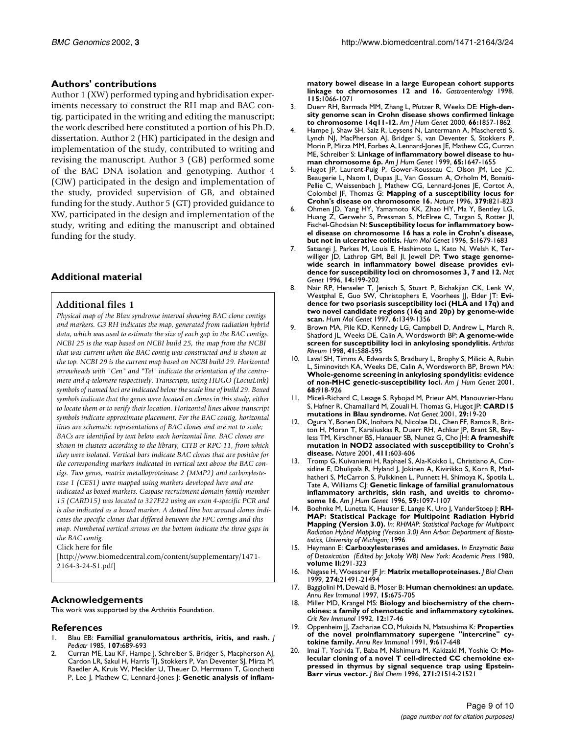# **Authors' contributions**

Author 1 (XW) performed typing and hybridisation experiments necessary to construct the RH map and BAC contig, participated in the writing and editing the manuscript; the work described here constituted a portion of his Ph.D. dissertation. Author 2 (HK) participated in the design and implementation of the study, contributed to writing and revising the manuscript. Author 3 (GB) performed some of the BAC DNA isolation and genotyping. Author 4 (CJW) participated in the design and implementation of the study, provided supervision of GB, and obtained funding for the study. Author 5 (GT) provided guidance to XW, participated in the design and implementation of the study, writing and editing the manuscript and obtained funding for the study.

# **Additional material**

## **Additional files 1**

*Physical map of the Blau syndrome interval showing BAC clone contigs and markers. G3 RH indicates the map, generated from radiation hybrid data, which was used to estimate the size of each gap in the BAC contigs. NCBI 25 is the map based on NCBI build 25, the map from the NCBI that was current when the BAC contig was constructed and is shown at the top. NCBI 29 is the current map based on NCBI build 29. Horizontal arrowheads with "Cen" and "Tel" indicate the orientation of the centromere and q-telomere respectively. Transcripts, using HUGO (LocusLink) symbols of named loci are indicated below the scale line of build 29. Boxed symbols indicate that the genes were located on clones in this study, either to locate them or to verify their location. Horizontal lines above transcript symbols indicate approximate placement. For the BAC contig, horizontal lines are schematic representations of BAC clones and are not to scale; BACs are identified by text below each horizontal line. BAC clones are shown in clusters according to the library, CITB or RPC-11, from which they were isolated. Vertical bars indicate BAC clones that are positive for the corresponding markers indicated in vertical text above the BAC contigs. Two genes, matrix metalloproteinase 2 (MMP2) and carboxylesterase 1 (CES1) were mapped using markers developed here and are indicated as boxed markers. Caspase recruitment domain family member 15 (CARD15) was located to 327F22 using an exon 4-specific PCR and is also indicated as a boxed marker. A dotted line box around clones indicates the specific clones that differed between the FPC contigs and this map. Numbered vertical arrows on the bottom indicate the three gaps in the BAC contig.*

[Click here for file](http://www.biomedcentral.com/content/supplementary/1471-2164-3-24-S1.pdf)

[\[http://www.biomedcentral.com/content/supplementary/1471-](http://www.biomedcentral.com/content/supplementary/1471-2164-3-24-S1.pdf) 2164-3-24-S1.pdf]

## **Acknowledgements**

This work was supported by the Arthritis Foundation.

#### **References**

- 1. [Blau EB:](http://www.ncbi.nlm.nih.gov/entrez/query.fcgi?cmd=Retrieve&db=PubMed&dopt=Abstract&list_uids=4056967) **[Familial granulomatous arthritis, iritis, and rash.](http://www.ncbi.nlm.nih.gov/entrez/query.fcgi?cmd=Retrieve&db=PubMed&dopt=Abstract&list_uids=4056967)** *J Pediatr* 1985, **107:**689-693
- 2. [Curran ME, Lau KF, Hampe J, Schreiber S, Bridger S, Macpherson AJ,](http://www.ncbi.nlm.nih.gov/entrez/query.fcgi?cmd=Retrieve&db=PubMed&dopt=Abstract&list_uids=9797359) [Cardon LR, Sakul H, Harris TJ, Stokkers P, Van Deventer SJ, Mirza M,](http://www.ncbi.nlm.nih.gov/entrez/query.fcgi?cmd=Retrieve&db=PubMed&dopt=Abstract&list_uids=9797359) Raedler A, Kruis W, Meckler U, Theuer D, Herrmann T, Gionchetti [P, Lee J, Mathew C, Lennard-Jones J:](http://www.ncbi.nlm.nih.gov/entrez/query.fcgi?cmd=Retrieve&db=PubMed&dopt=Abstract&list_uids=9797359) [Genetic analysis of inflam-](http://www.ncbi.nlm.nih.gov/entrez/query.fcgi?cmd=Retrieve&db=PubMed&dopt=Abstract&list_uids=9797359)

**[matory bowel disease in a large European cohort supports](http://www.ncbi.nlm.nih.gov/entrez/query.fcgi?cmd=Retrieve&db=PubMed&dopt=Abstract&list_uids=9797359) [linkage to chromosomes 12 and 16.](http://www.ncbi.nlm.nih.gov/entrez/query.fcgi?cmd=Retrieve&db=PubMed&dopt=Abstract&list_uids=9797359)** *Gastroenterology* 1998, **115:**1066-1071

- 3. [Duerr RH, Barmada MM, Zhang L, Pfutzer R, Weeks DE:](http://www.ncbi.nlm.nih.gov/entrez/query.fcgi?cmd=Retrieve&db=PubMed&dopt=Abstract&list_uids=10747815) **[High-den](http://www.ncbi.nlm.nih.gov/entrez/query.fcgi?cmd=Retrieve&db=PubMed&dopt=Abstract&list_uids=10747815)[sity genome scan in Crohn disease shows confirmed linkage](http://www.ncbi.nlm.nih.gov/entrez/query.fcgi?cmd=Retrieve&db=PubMed&dopt=Abstract&list_uids=10747815) [to chromosome 14q11-12.](http://www.ncbi.nlm.nih.gov/entrez/query.fcgi?cmd=Retrieve&db=PubMed&dopt=Abstract&list_uids=10747815)** *Am J Hum Genet* 2000, **66:**1857-1862
- Hampe J, Shaw SH, Saiz R, Leysens N, Lantermann A, Mascheretti S, [Lynch NJ, MacPherson AJ, Bridger S, van Deventer S, Stokkers P,](http://www.ncbi.nlm.nih.gov/entrez/query.fcgi?cmd=Retrieve&db=PubMed&dopt=Abstract&list_uids=10577918) Morin P, Mirza MM, Forbes A, Lennard-Jones JE, Mathew CG, Curran [ME, Schreiber S:](http://www.ncbi.nlm.nih.gov/entrez/query.fcgi?cmd=Retrieve&db=PubMed&dopt=Abstract&list_uids=10577918) **[Linkage of inflammatory bowel disease to hu](http://www.ncbi.nlm.nih.gov/entrez/query.fcgi?cmd=Retrieve&db=PubMed&dopt=Abstract&list_uids=10577918)[man chromosome 6p.](http://www.ncbi.nlm.nih.gov/entrez/query.fcgi?cmd=Retrieve&db=PubMed&dopt=Abstract&list_uids=10577918)** *Am J Hum Genet* 1999, **65:**1647-1655
- 5. [Hugot JP, Laurent-Puig P, Gower-Rousseau C, Olson JM, Lee JC,](http://www.ncbi.nlm.nih.gov/entrez/query.fcgi?cmd=Retrieve&db=PubMed&dopt=Abstract&list_uids=8587604) [Beaugerie L, Naom I, Dupas JL, Van Gossum A, Orholm M, Bonaiti-](http://www.ncbi.nlm.nih.gov/entrez/query.fcgi?cmd=Retrieve&db=PubMed&dopt=Abstract&list_uids=8587604)Pellie C, Weissenbach J, Mathew CG, Lennard-Jones JE, Cortot A, [Colombel JF, Thomas G:](http://www.ncbi.nlm.nih.gov/entrez/query.fcgi?cmd=Retrieve&db=PubMed&dopt=Abstract&list_uids=8587604) **[Mapping of a susceptibility locus for](http://www.ncbi.nlm.nih.gov/entrez/query.fcgi?cmd=Retrieve&db=PubMed&dopt=Abstract&list_uids=8587604) [Crohn's disease on chromosome 16.](http://www.ncbi.nlm.nih.gov/entrez/query.fcgi?cmd=Retrieve&db=PubMed&dopt=Abstract&list_uids=8587604)** *Nature* 1996, **379:**821-823
- 6. [Ohmen JD, Yang HY, Yamamoto KK, Zhao HY, Ma Y, Bentley LG,](http://www.ncbi.nlm.nih.gov/entrez/query.fcgi?cmd=Retrieve&db=PubMed&dopt=Abstract&list_uids=8894707) [Huang Z, Gerwehr S, Pressman S, McElree C, Targan S, Rotter JI,](http://www.ncbi.nlm.nih.gov/entrez/query.fcgi?cmd=Retrieve&db=PubMed&dopt=Abstract&list_uids=8894707) [Fischel-Ghodsian N:](http://www.ncbi.nlm.nih.gov/entrez/query.fcgi?cmd=Retrieve&db=PubMed&dopt=Abstract&list_uids=8894707) **[Susceptibility locus for inflammatory bow](http://www.ncbi.nlm.nih.gov/entrez/query.fcgi?cmd=Retrieve&db=PubMed&dopt=Abstract&list_uids=8894707)[el disease on chromosome 16 has a role in Crohn's disease,](http://www.ncbi.nlm.nih.gov/entrez/query.fcgi?cmd=Retrieve&db=PubMed&dopt=Abstract&list_uids=8894707) [but not in ulcerative colitis.](http://www.ncbi.nlm.nih.gov/entrez/query.fcgi?cmd=Retrieve&db=PubMed&dopt=Abstract&list_uids=8894707)** *Hum Mol Genet* 1996, **5:**1679-1683
- 7. [Satsangi J, Parkes M, Louis E, Hashimoto L, Kato N, Welsh K, Ter](http://www.ncbi.nlm.nih.gov/entrez/query.fcgi?cmd=Retrieve&db=PubMed&dopt=Abstract&list_uids=8841195)[williger JD, Lathrop GM, Bell JI, Jewell DP:](http://www.ncbi.nlm.nih.gov/entrez/query.fcgi?cmd=Retrieve&db=PubMed&dopt=Abstract&list_uids=8841195) **[Two stage genome](http://www.ncbi.nlm.nih.gov/entrez/query.fcgi?cmd=Retrieve&db=PubMed&dopt=Abstract&list_uids=8841195)[wide search in inflammatory bowel disease provides evi](http://www.ncbi.nlm.nih.gov/entrez/query.fcgi?cmd=Retrieve&db=PubMed&dopt=Abstract&list_uids=8841195)[dence for susceptibility loci on chromosomes 3, 7 and 12.](http://www.ncbi.nlm.nih.gov/entrez/query.fcgi?cmd=Retrieve&db=PubMed&dopt=Abstract&list_uids=8841195)** *Nat Genet* 1996, **14:**199-202
- 8. [Nair RP, Henseler T, Jenisch S, Stuart P, Bichakjian CK, Lenk W,](http://www.ncbi.nlm.nih.gov/entrez/query.fcgi?cmd=Retrieve&db=PubMed&dopt=Abstract&list_uids=9259283) [Westphal E, Guo SW, Christophers E, Voorhees JJ, Elder JT:](http://www.ncbi.nlm.nih.gov/entrez/query.fcgi?cmd=Retrieve&db=PubMed&dopt=Abstract&list_uids=9259283) **[Evi](http://www.ncbi.nlm.nih.gov/entrez/query.fcgi?cmd=Retrieve&db=PubMed&dopt=Abstract&list_uids=9259283)[dence for two psoriasis susceptibility loci \(HLA and 17q\) and](http://www.ncbi.nlm.nih.gov/entrez/query.fcgi?cmd=Retrieve&db=PubMed&dopt=Abstract&list_uids=9259283) two novel candidate regions (16q and 20p) by genome-wide [scan.](http://www.ncbi.nlm.nih.gov/entrez/query.fcgi?cmd=Retrieve&db=PubMed&dopt=Abstract&list_uids=9259283)** *Hum Mol Genet* 1997, **6:**1349-1356
- Brown MA, Pile KD, Kennedy LG, Campbell D, Andrew L, March R, [Shatford JL, Weeks DE, Calin A, Wordsworth BP:](http://www.ncbi.nlm.nih.gov/entrez/query.fcgi?cmd=Retrieve&db=PubMed&dopt=Abstract&list_uids=9550467) **[A genome-wide](http://www.ncbi.nlm.nih.gov/entrez/query.fcgi?cmd=Retrieve&db=PubMed&dopt=Abstract&list_uids=9550467) [screen for susceptibility loci in ankylosing spondylitis.](http://www.ncbi.nlm.nih.gov/entrez/query.fcgi?cmd=Retrieve&db=PubMed&dopt=Abstract&list_uids=9550467)** *Arthritis Rheum* 1998, **41:**588-595
- Laval SH, Timms A, Edwards S, Bradbury L, Brophy S, Milicic A, Rubin [L, Siminovitch KA, Weeks DE, Calin A, Wordsworth BP, Brown MA:](http://www.ncbi.nlm.nih.gov/entrez/query.fcgi?cmd=Retrieve&db=PubMed&dopt=Abstract&list_uids=11231900) **[Whole-genome screening in ankylosing spondylitis: evidence](http://www.ncbi.nlm.nih.gov/entrez/query.fcgi?cmd=Retrieve&db=PubMed&dopt=Abstract&list_uids=11231900) [of non-MHC genetic-susceptibility loci.](http://www.ncbi.nlm.nih.gov/entrez/query.fcgi?cmd=Retrieve&db=PubMed&dopt=Abstract&list_uids=11231900)** *Am J Hum Genet* 2001, **68:**918-926
- 11. [Miceli-Richard C, Lesage S, Rybojad M, Prieur AM, Manouvrier-Hanu](http://www.ncbi.nlm.nih.gov/entrez/query.fcgi?cmd=Retrieve&db=PubMed&dopt=Abstract&list_uids=11528384) [S, Hafner R, Chamaillard M, Zouali H, Thomas G, Hugot JP:](http://www.ncbi.nlm.nih.gov/entrez/query.fcgi?cmd=Retrieve&db=PubMed&dopt=Abstract&list_uids=11528384) CARD I5 **[mutations in Blau syndrome.](http://www.ncbi.nlm.nih.gov/entrez/query.fcgi?cmd=Retrieve&db=PubMed&dopt=Abstract&list_uids=11528384)** *Nat Genet* 2001, **29:**19-20
- 12. [Ogura Y, Bonen DK, Inohara N, Nicolae DL, Chen FF, Ramos R, Brit](http://www.ncbi.nlm.nih.gov/entrez/query.fcgi?cmd=Retrieve&db=PubMed&dopt=Abstract&list_uids=11385577)[ton H, Moran T, Karaliuskas R, Duerr RH, Achkar JP, Brant SR, Bay](http://www.ncbi.nlm.nih.gov/entrez/query.fcgi?cmd=Retrieve&db=PubMed&dopt=Abstract&list_uids=11385577)[less TM, Kirschner BS, Hanauer SB, Nunez G, Cho JH:](http://www.ncbi.nlm.nih.gov/entrez/query.fcgi?cmd=Retrieve&db=PubMed&dopt=Abstract&list_uids=11385577) **[A frameshift](http://www.ncbi.nlm.nih.gov/entrez/query.fcgi?cmd=Retrieve&db=PubMed&dopt=Abstract&list_uids=11385577) [mutation in NOD2 associated with susceptibility to Crohn's](http://www.ncbi.nlm.nih.gov/entrez/query.fcgi?cmd=Retrieve&db=PubMed&dopt=Abstract&list_uids=11385577) [disease.](http://www.ncbi.nlm.nih.gov/entrez/query.fcgi?cmd=Retrieve&db=PubMed&dopt=Abstract&list_uids=11385577)** *Nature* 2001, **411:**603-606
- 13. [Tromp G, Kuivaniemi H, Raphael S, Ala-Kokko L, Christiano A, Con](http://www.ncbi.nlm.nih.gov/entrez/query.fcgi?cmd=Retrieve&db=PubMed&dopt=Abstract&list_uids=8900239)sidine E, Dhulipala R, Hyland J, Jokinen A, Kivirikko S, Korn R, Mad[hatheri S, McCarron S, Pulkkinen L, Punnett H, Shimoya K, Spotila L,](http://www.ncbi.nlm.nih.gov/entrez/query.fcgi?cmd=Retrieve&db=PubMed&dopt=Abstract&list_uids=8900239) [Tate A, Williams CJ:](http://www.ncbi.nlm.nih.gov/entrez/query.fcgi?cmd=Retrieve&db=PubMed&dopt=Abstract&list_uids=8900239) **[Genetic linkage of familial granulomatous](http://www.ncbi.nlm.nih.gov/entrez/query.fcgi?cmd=Retrieve&db=PubMed&dopt=Abstract&list_uids=8900239) [inflammatory arthritis, skin rash, and uveitis to chromo](http://www.ncbi.nlm.nih.gov/entrez/query.fcgi?cmd=Retrieve&db=PubMed&dopt=Abstract&list_uids=8900239)[some 16.](http://www.ncbi.nlm.nih.gov/entrez/query.fcgi?cmd=Retrieve&db=PubMed&dopt=Abstract&list_uids=8900239)** *Am J Hum Genet* 1996, **59:**1097-1107
- Boehnke M, Lunetta K, Hauser E, Lange K, Uro J, VanderStoep J: RH-**MAP: Statistical Package for Multipoint Radiation Hybrid Mapping (Version 3.0).** *In: RHMAP: Statistical Package for Multipoint Radiation Hybrid Mapping (Version 3.0) Ann Arbor: Department of Biostatistics, University of Michigan;* 1996
- 15. Heymann E: **Carboxylesterases and amidases.** *In Enzymatic Basis of Detoxication (Edited by: Jakoby WB) New York: Academic Press* 1980, **volume II:**291-323
- 16. [Nagase H, Woessner JF Jr:](http://www.ncbi.nlm.nih.gov/entrez/query.fcgi?cmd=Retrieve&db=PubMed&dopt=Abstract&list_uids=10419448) **[Matrix metalloproteinases.](http://www.ncbi.nlm.nih.gov/entrez/query.fcgi?cmd=Retrieve&db=PubMed&dopt=Abstract&list_uids=10419448)** *J Biol Chem* 1999, **274:**21491-21494
- 17. [Baggiolini M, Dewald B, Moser B:](http://www.ncbi.nlm.nih.gov/entrez/query.fcgi?cmd=Retrieve&db=PubMed&dopt=Abstract&list_uids=9143704) **[Human chemokines: an update.](http://www.ncbi.nlm.nih.gov/entrez/query.fcgi?cmd=Retrieve&db=PubMed&dopt=Abstract&list_uids=9143704)** *Annu Rev Immunol* 1997, **15:**675-705
- 18. [Miller MD, Krangel MS:](http://www.ncbi.nlm.nih.gov/entrez/query.fcgi?cmd=Retrieve&db=PubMed&dopt=Abstract&list_uids=1418604) **[Biology and biochemistry of the chem](http://www.ncbi.nlm.nih.gov/entrez/query.fcgi?cmd=Retrieve&db=PubMed&dopt=Abstract&list_uids=1418604)[okines: a family of chemotactic and inflammatory cytokines.](http://www.ncbi.nlm.nih.gov/entrez/query.fcgi?cmd=Retrieve&db=PubMed&dopt=Abstract&list_uids=1418604)** *Crit Rev Immunol* 1992, **12:**17-46
- 19. [Oppenheim JJ, Zachariae CO, Mukaida N, Matsushima K:](http://www.ncbi.nlm.nih.gov/entrez/query.fcgi?cmd=Retrieve&db=PubMed&dopt=Abstract&list_uids=1910690) **[Properties](http://www.ncbi.nlm.nih.gov/entrez/query.fcgi?cmd=Retrieve&db=PubMed&dopt=Abstract&list_uids=1910690) [of the novel proinflammatory supergene "intercrine" cy](http://www.ncbi.nlm.nih.gov/entrez/query.fcgi?cmd=Retrieve&db=PubMed&dopt=Abstract&list_uids=1910690)[tokine family.](http://www.ncbi.nlm.nih.gov/entrez/query.fcgi?cmd=Retrieve&db=PubMed&dopt=Abstract&list_uids=1910690)** *Annu Rev Immunol* 1991, **9:**617-648
- 20. [Imai T, Yoshida T, Baba M, Nishimura M, Kakizaki M, Yoshie O:](http://www.ncbi.nlm.nih.gov/entrez/query.fcgi?cmd=Retrieve&db=PubMed&dopt=Abstract&list_uids=8702936) **[Mo](http://www.ncbi.nlm.nih.gov/entrez/query.fcgi?cmd=Retrieve&db=PubMed&dopt=Abstract&list_uids=8702936)lecular cloning of a novel T cell-directed CC chemokine ex[pressed in thymus by signal sequence trap using Epstein-](http://www.ncbi.nlm.nih.gov/entrez/query.fcgi?cmd=Retrieve&db=PubMed&dopt=Abstract&list_uids=8702936)[Barr virus vector.](http://www.ncbi.nlm.nih.gov/entrez/query.fcgi?cmd=Retrieve&db=PubMed&dopt=Abstract&list_uids=8702936)** *J Biol Chem* 1996, **271:**21514-21521